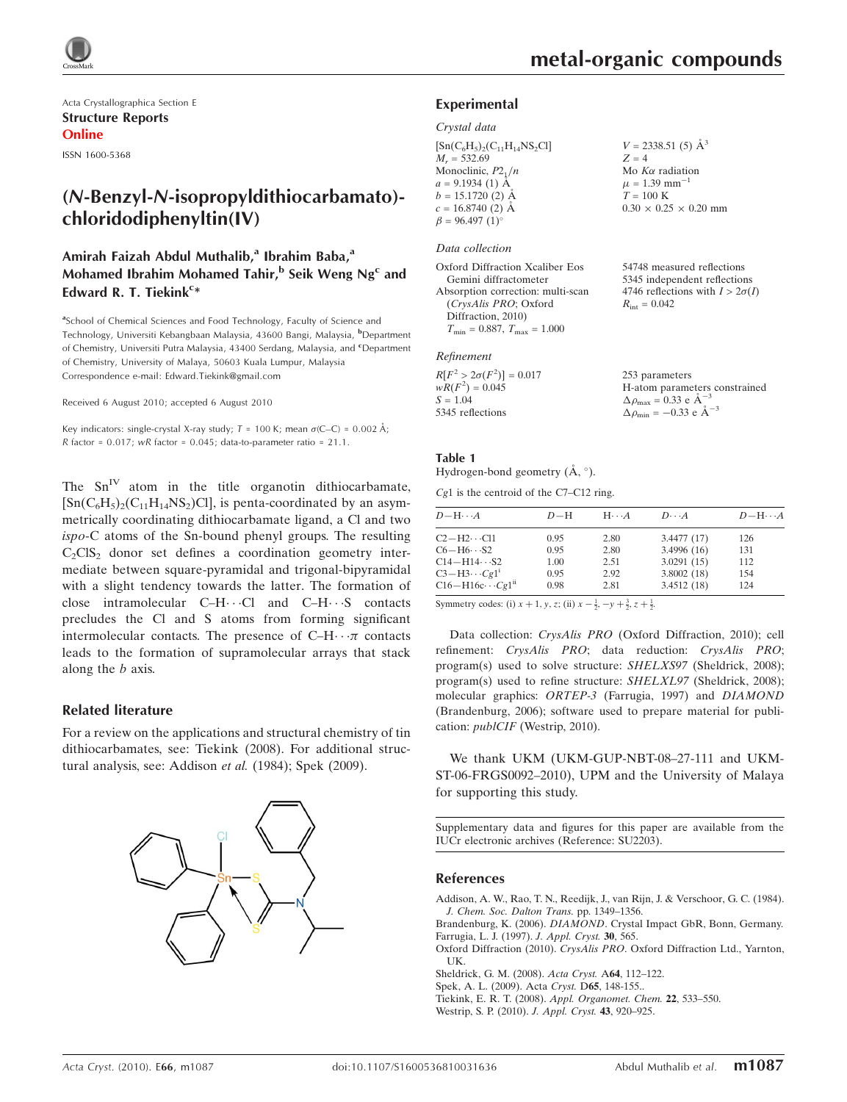

Acta Crystallographica Section E Structure Reports Online

ISSN 1600-5368

# (N-Benzyl-N-isopropyldithiocarbamato) chloridodiphenyltin(IV)

### Amirah Faizah Abdul Muthalib,<sup>a</sup> Ibrahim Baba,<sup>a</sup> Mohamed Ibrahim Mohamed Tahir, $^{\rm b}$  Seik Weng Ng<sup>c</sup> and Edward R. T. Tiekink<sup>c\*</sup>

<sup>a</sup>School of Chemical Sciences and Food Technology, Faculty of Science and Technology, Universiti Kebangbaan Malaysia, 43600 Bangi, Malaysia, <sup>b</sup>Department of Chemistry, Universiti Putra Malaysia, 43400 Serdang, Malaysia, and <sup>c</sup>Department of Chemistry, University of Malaya, 50603 Kuala Lumpur, Malaysia Correspondence e-mail: Edward.Tiekink@gmail.com

Received 6 August 2010; accepted 6 August 2010

Key indicators: single-crystal X-ray study;  $T = 100$  K; mean  $\sigma$ (C–C) = 0.002 Å;  $R$  factor = 0.017;  $wR$  factor = 0.045; data-to-parameter ratio = 21.1.

The  $Sn<sup>IV</sup>$  atom in the title organotin dithiocarbamate,  $[Sn(C_6H_5)_2(C_{11}H_{14}NS_2)Cl]$ , is penta-coordinated by an asymmetrically coordinating dithiocarbamate ligand, a Cl and two ispo-C atoms of the Sn-bound phenyl groups. The resulting  $C_2<sub>2</sub>ClS<sub>2</sub>$  donor set defines a coordination geometry intermediate between square-pyramidal and trigonal-bipyramidal with a slight tendency towards the latter. The formation of close intramolecular  $C-H\cdots C$  and  $C-H\cdots S$  contacts precludes the Cl and S atoms from forming significant intermolecular contacts. The presence of  $C-H \cdots \pi$  contacts leads to the formation of supramolecular arrays that stack along the b axis.

### Related literature

For a review on the applications and structural chemistry of tin dithiocarbamates, see: Tiekink (2008). For additional structural analysis, see: Addison et al. (1984); Spek (2009).



 $V = 2338.51(5)$   $\AA^3$ 

 $0.30 \times 0.25 \times 0.20$  mm

54748 measured reflections 5345 independent reflections 4746 reflections with  $I > 2\sigma(I)$ 

 $Z = 4$ Mo  $K\alpha$  radiation  $\mu = 1.39$  mm<sup>-1</sup>  $T = 100 \text{ K}$ 

 $R_{\text{int}} = 0.042$ 

### Experimental

#### Crystal data

| $[Sn(C6H5)2(C11H14NS2Cl]$ |  |
|---------------------------|--|
| $M_r = 532.69$            |  |
| Monoclinic, $P2_1/n$      |  |
| $a = 9.1934(1)$ Å         |  |
| $b = 15.1720$ (2) $\AA$   |  |
| $c = 16.8740(2)$ Å        |  |
| $\beta = 96.497(1)$ °     |  |

### Data collection

| Oxford Diffraction Xcaliber Eos      |
|--------------------------------------|
| Gemini diffractometer                |
| Absorption correction: multi-scan    |
| (CrysAlis PRO; Oxford                |
| Diffraction, 2010)                   |
| $T_{\min} = 0.887, T_{\max} = 1.000$ |

### Refinement

| $R[F^2 > 2\sigma(F^2)] = 0.017$ | 253 parameters                                     |
|---------------------------------|----------------------------------------------------|
| $wR(F^2) = 0.045$               | H-atom parameters constrained                      |
| $S = 1.04$                      | $\Delta \rho_{\text{max}} = 0.33 \text{ e A}^{-3}$ |
| 5345 reflections                | $\Delta \rho_{\rm min} = -0.33 \text{ e A}^{-3}$   |
|                                 |                                                    |

#### Table 1

Hydrogen-bond geometry  $(\AA, \degree)$ .

Cg1 is the centroid of the C7–C12 ring.

| $D - H \cdots A$             | $D-H$ | $H \cdots A$ | $D\cdots A$ | $D - H \cdots A$ |
|------------------------------|-------|--------------|-------------|------------------|
| $C2 - H2 \cdots C11$         | 0.95  | 2.80         | 3.4477(17)  | 126              |
| $C6 - H6 \cdots S2$          | 0.95  | 2.80         | 3.4996(16)  | 131              |
| $C14 - H14 \cdots S2$        | 1.00  | 2.51         | 3.0291(15)  | 112              |
| $C3-H3\cdots Cg1^1$          | 0.95  | 2.92         | 3.8002(18)  | 154              |
| $C16 - H16c \cdots Cg1^{ii}$ | 0.98  | 2.81         | 3.4512(18)  | 124              |

Symmetry codes: (i)  $x + 1$ ,  $y$ ,  $z$ ; (ii)  $x - \frac{1}{2}$ ,  $-y + \frac{3}{2}$ ,  $z + \frac{1}{2}$ .

Data collection: CrysAlis PRO (Oxford Diffraction, 2010); cell refinement: CrysAlis PRO; data reduction: CrysAlis PRO; program(s) used to solve structure: SHELXS97 (Sheldrick, 2008); program(s) used to refine structure: SHELXL97 (Sheldrick, 2008); molecular graphics: ORTEP-3 (Farrugia, 1997) and DIAMOND (Brandenburg, 2006); software used to prepare material for publication: publCIF (Westrip, 2010).

We thank UKM (UKM-GUP-NBT-08–27-111 and UKM-ST-06-FRGS0092–2010), UPM and the University of Malaya for supporting this study.

Supplementary data and figures for this paper are available from the IUCr electronic archives (Reference: SU2203).

#### References

[Addison, A. W., Rao, T. N., Reedijk, J., van Rijn, J. & Verschoor, G. C. \(1984\).](https://scripts.iucr.org/cgi-bin/cr.cgi?rm=pdfbb&cnor=su2203&bbid=BB1) [J. Chem. Soc. Dalton Trans.](https://scripts.iucr.org/cgi-bin/cr.cgi?rm=pdfbb&cnor=su2203&bbid=BB1) pp. 1349–1356.

Brandenburg, K. (2006). DIAMOND[. Crystal Impact GbR, Bonn, Germany.](https://scripts.iucr.org/cgi-bin/cr.cgi?rm=pdfbb&cnor=su2203&bbid=BB2) [Farrugia, L. J. \(1997\).](https://scripts.iucr.org/cgi-bin/cr.cgi?rm=pdfbb&cnor=su2203&bbid=BB3) J. Appl. Cryst. 30, 565.

Oxford Diffraction (2010). CrysAlis PRO[. Oxford Diffraction Ltd., Yarnton,](https://scripts.iucr.org/cgi-bin/cr.cgi?rm=pdfbb&cnor=su2203&bbid=BB4) [UK.](https://scripts.iucr.org/cgi-bin/cr.cgi?rm=pdfbb&cnor=su2203&bbid=BB4)

[Sheldrick, G. M. \(2008\).](https://scripts.iucr.org/cgi-bin/cr.cgi?rm=pdfbb&cnor=su2203&bbid=BB5) Acta Cryst. A64, 112–122.

[Spek, A. L. \(2009\). Acta](https://scripts.iucr.org/cgi-bin/cr.cgi?rm=pdfbb&cnor=su2203&bbid=BB6) Cryst. D65, 148-155..

Tiekink, E. R. T. (2008). [Appl. Organomet. Chem.](https://scripts.iucr.org/cgi-bin/cr.cgi?rm=pdfbb&cnor=su2203&bbid=BB7) 22, 533–550.

[Westrip, S. P. \(2010\).](https://scripts.iucr.org/cgi-bin/cr.cgi?rm=pdfbb&cnor=su2203&bbid=BB8) J. Appl. Cryst. 43, 920–925.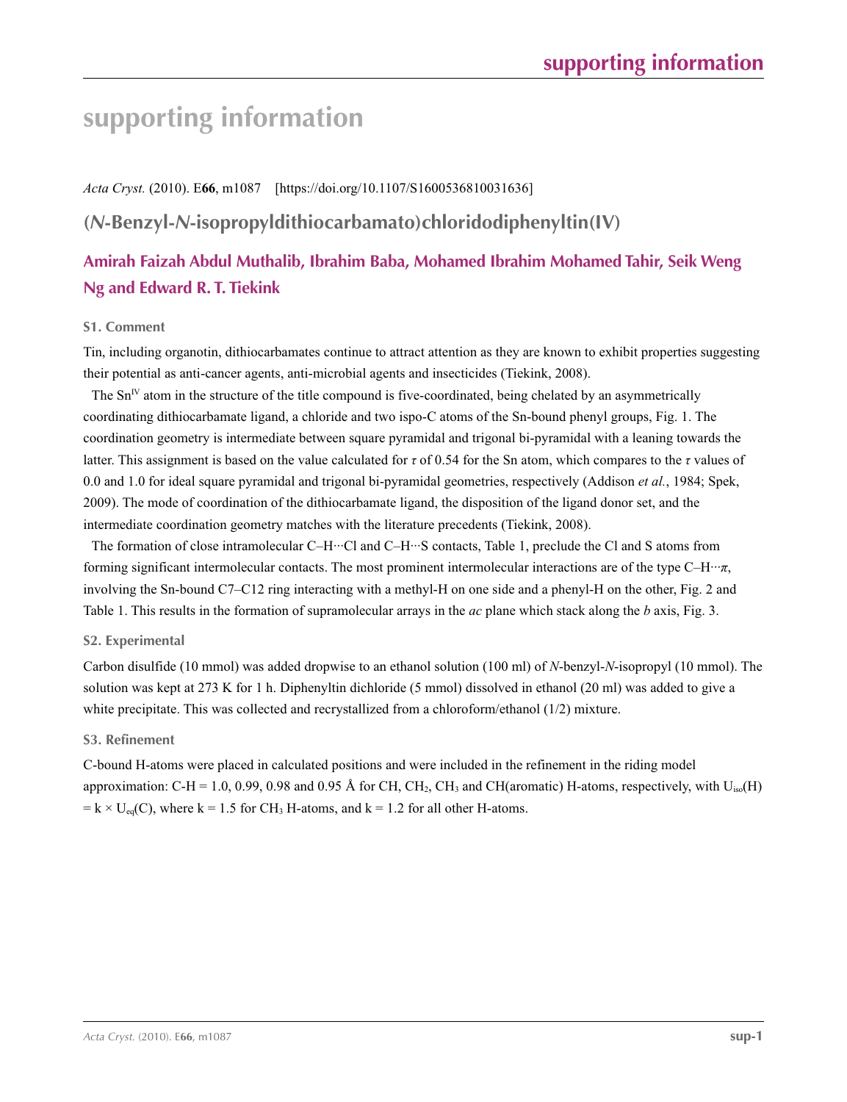# **supporting information**

*Acta Cryst.* (2010). E**66**, m1087 [https://doi.org/10.1107/S1600536810031636]

# **(***N***-Benzyl-***N***-isopropyldithiocarbamato)chloridodiphenyltin(IV)**

# **Amirah Faizah Abdul Muthalib, Ibrahim Baba, Mohamed Ibrahim Mohamed Tahir, Seik Weng Ng and Edward R. T. Tiekink**

### **S1. Comment**

Tin, including organotin, dithiocarbamates continue to attract attention as they are known to exhibit properties suggesting their potential as anti-cancer agents, anti-microbial agents and insecticides (Tiekink, 2008).

The  $Sn<sup>V</sup>$  atom in the structure of the title compound is five-coordinated, being chelated by an asymmetrically coordinating dithiocarbamate ligand, a chloride and two ispo-C atoms of the Sn-bound phenyl groups, Fig. 1. The coordination geometry is intermediate between square pyramidal and trigonal bi-pyramidal with a leaning towards the latter. This assignment is based on the value calculated for *τ* of 0.54 for the Sn atom, which compares to the *τ* values of 0.0 and 1.0 for ideal square pyramidal and trigonal bi-pyramidal geometries, respectively (Addison *et al.*, 1984; Spek, 2009). The mode of coordination of the dithiocarbamate ligand, the disposition of the ligand donor set, and the intermediate coordination geometry matches with the literature precedents (Tiekink, 2008).

The formation of close intramolecular C–H···Cl and C–H···S contacts, Table 1, preclude the Cl and S atoms from forming significant intermolecular contacts. The most prominent intermolecular interactions are of the type C–H···*π*, involving the Sn-bound C7–C12 ring interacting with a methyl-H on one side and a phenyl-H on the other, Fig. 2 and Table 1. This results in the formation of supramolecular arrays in the *ac* plane which stack along the *b* axis, Fig. 3.

### **S2. Experimental**

Carbon disulfide (10 mmol) was added dropwise to an ethanol solution (100 ml) of *N*-benzyl-*N*-isopropyl (10 mmol). The solution was kept at 273 K for 1 h. Diphenyltin dichloride (5 mmol) dissolved in ethanol (20 ml) was added to give a white precipitate. This was collected and recrystallized from a chloroform/ethanol (1/2) mixture.

### **S3. Refinement**

C-bound H-atoms were placed in calculated positions and were included in the refinement in the riding model approximation: C-H = 1.0, 0.99, 0.98 and 0.95 Å for CH, CH<sub>2</sub>, CH<sub>3</sub> and CH(aromatic) H-atoms, respectively, with U<sub>iso</sub>(H)  $= k \times U_{eq}(C)$ , where  $k = 1.5$  for CH<sub>3</sub> H-atoms, and  $k = 1.2$  for all other H-atoms.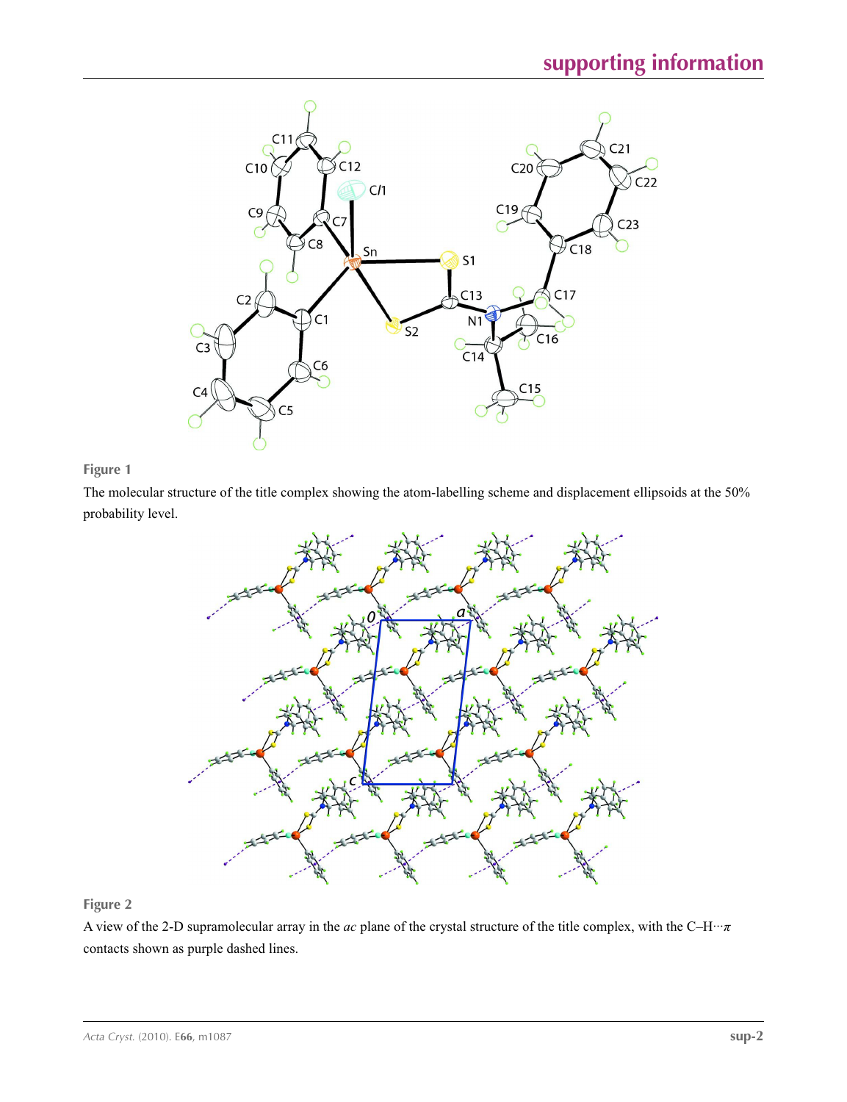

## **Figure 1**

The molecular structure of the title complex showing the atom-labelling scheme and displacement ellipsoids at the 50% probability level.



## **Figure 2**

A view of the 2-D supramolecular array in the *ac* plane of the crystal structure of the title complex, with the C–H···*π* contacts shown as purple dashed lines.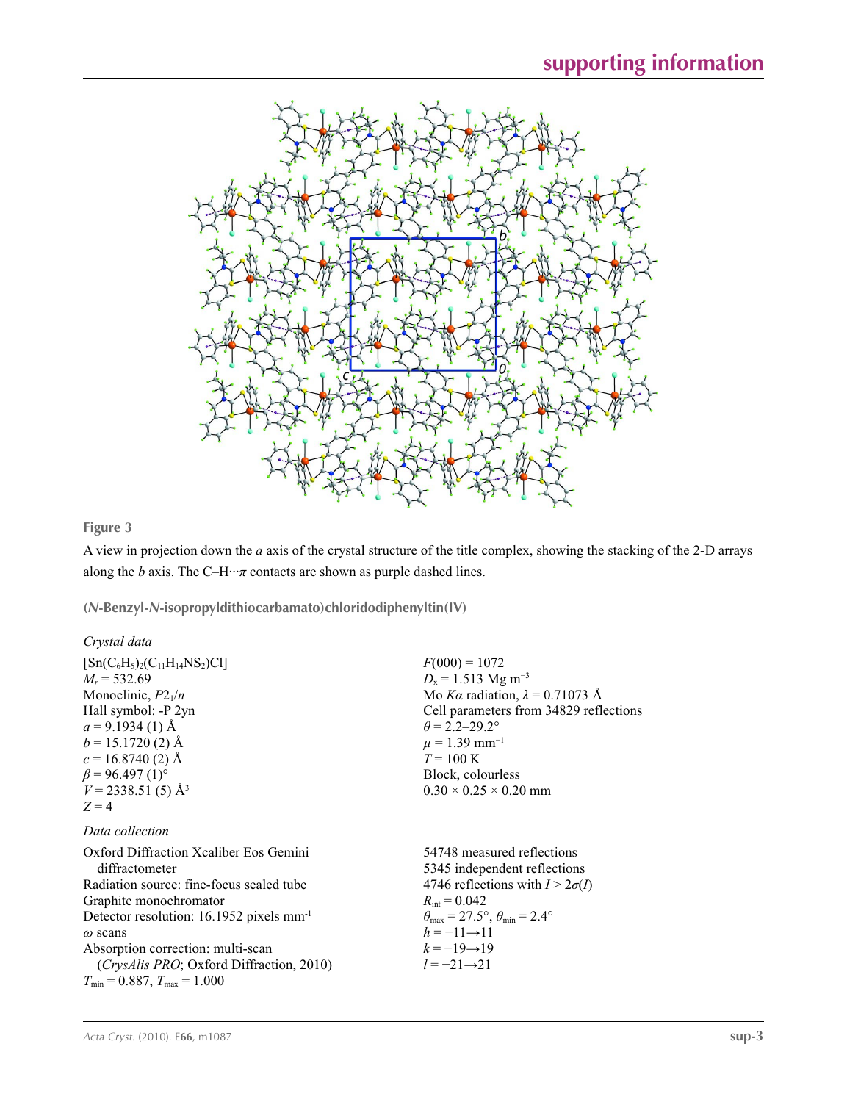

# **Figure 3**

A view in projection down the *a* axis of the crystal structure of the title complex, showing the stacking of the 2-D arrays along the *b* axis. The C–H $\cdots$ *π* contacts are shown as purple dashed lines.

**(***N***-Benzyl-***N***-isopropyldithiocarbamato)chloridodiphenyltin(IV)** 

### *Crystal data*

| $[Sn(C_6H_5)_2(C_{11}H_{14}NS_2)Cl]$                 | $F(000) = 1072$                                                         |
|------------------------------------------------------|-------------------------------------------------------------------------|
| $M_r = 532.69$                                       | $D_x = 1.513$ Mg m <sup>-3</sup>                                        |
| Monoclinic, $P2_1/n$                                 | Mo Ka radiation, $\lambda = 0.71073$ Å                                  |
| Hall symbol: -P 2yn                                  | Cell parameters from 34829 reflections                                  |
| $a = 9.1934(1)$ Å                                    | $\theta$ = 2.2–29.2°                                                    |
| $b = 15.1720(2)$ Å                                   | $\mu$ = 1.39 mm <sup>-1</sup>                                           |
| $c = 16.8740(2)$ Å                                   | $T = 100 \text{ K}$                                                     |
| $\beta$ = 96.497 (1) <sup>o</sup>                    | Block, colourless                                                       |
| $V = 2338.51(5)$ Å <sup>3</sup>                      | $0.30 \times 0.25 \times 0.20$ mm                                       |
| $Z=4$                                                |                                                                         |
| Data collection                                      |                                                                         |
| Oxford Diffraction Xcaliber Eos Gemini               | 54748 measured reflections                                              |
| diffractometer                                       | 5345 independent reflections                                            |
| Radiation source: fine-focus sealed tube             | 4746 reflections with $I > 2\sigma(I)$                                  |
| Graphite monochromator                               | $R_{\text{int}} = 0.042$                                                |
| Detector resolution: 16.1952 pixels mm <sup>-1</sup> | $\theta_{\text{max}} = 27.5^{\circ}, \theta_{\text{min}} = 2.4^{\circ}$ |
| $\omega$ scans                                       | $h = -11 \rightarrow 11$                                                |
| Absorption correction: multi-scan                    | $k = -19 \rightarrow 19$                                                |
| (CrysAlis PRO; Oxford Diffraction, 2010)             | $l = -21 \rightarrow 21$                                                |
| $T_{\min}$ = 0.887, $T_{\max}$ = 1.000               |                                                                         |
|                                                      |                                                                         |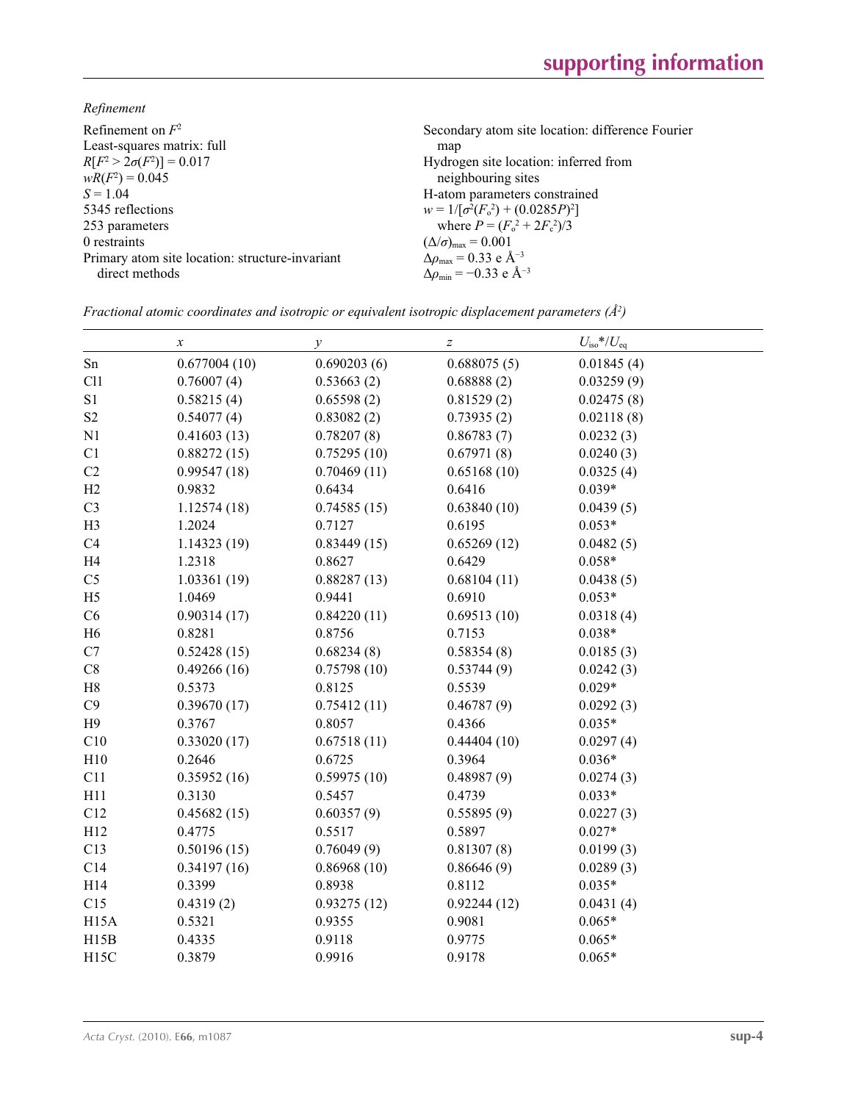*Refinement*

| Refinement on $F^2$                             | Secondary atom site location: difference Fourier             |
|-------------------------------------------------|--------------------------------------------------------------|
| Least-squares matrix: full                      | map                                                          |
| $R[F^2 > 2\sigma(F^2)] = 0.017$                 | Hydrogen site location: inferred from                        |
| $wR(F^2) = 0.045$                               | neighbouring sites                                           |
| $S = 1.04$                                      | H-atom parameters constrained                                |
| 5345 reflections                                | $w = 1/[\sigma^2(F_0^2) + (0.0285P)^2]$                      |
| 253 parameters                                  | where $P = (F_o^2 + 2F_c^2)/3$                               |
| 0 restraints                                    | $(\Delta/\sigma)_{\text{max}} = 0.001$                       |
| Primary atom site location: structure-invariant | $\Delta \rho_{\text{max}} = 0.33 \text{ e } \text{\AA}^{-3}$ |
| direct methods                                  | $\Delta\rho_{\rm min} = -0.33$ e Å <sup>-3</sup>             |
|                                                 |                                                              |

|  |  | Fractional atomic coordinates and isotropic or equivalent isotropic displacement parameters ( $\AA^2$ ) |  |  |  |  |
|--|--|---------------------------------------------------------------------------------------------------------|--|--|--|--|
|--|--|---------------------------------------------------------------------------------------------------------|--|--|--|--|

|                | $\boldsymbol{\chi}$ | у           | $\boldsymbol{Z}$ | $U_{\rm iso}*/U_{\rm eq}$ |
|----------------|---------------------|-------------|------------------|---------------------------|
| ${\rm Sn}$     | 0.677004(10)        | 0.690203(6) | 0.688075(5)      | 0.01845(4)                |
| C11            | 0.76007(4)          | 0.53663(2)  | 0.68888(2)       | 0.03259(9)                |
| S1             | 0.58215(4)          | 0.65598(2)  | 0.81529(2)       | 0.02475(8)                |
| S <sub>2</sub> | 0.54077(4)          | 0.83082(2)  | 0.73935(2)       | 0.02118(8)                |
| N1             | 0.41603(13)         | 0.78207(8)  | 0.86783(7)       | 0.0232(3)                 |
| C1             | 0.88272(15)         | 0.75295(10) | 0.67971(8)       | 0.0240(3)                 |
| C2             | 0.99547(18)         | 0.70469(11) | 0.65168(10)      | 0.0325(4)                 |
| H2             | 0.9832              | 0.6434      | 0.6416           | $0.039*$                  |
| C <sub>3</sub> | 1.12574(18)         | 0.74585(15) | 0.63840(10)      | 0.0439(5)                 |
| H <sub>3</sub> | 1.2024              | 0.7127      | 0.6195           | $0.053*$                  |
| C <sub>4</sub> | 1.14323(19)         | 0.83449(15) | 0.65269(12)      | 0.0482(5)                 |
| H <sub>4</sub> | 1.2318              | 0.8627      | 0.6429           | $0.058*$                  |
| C <sub>5</sub> | 1.03361(19)         | 0.88287(13) | 0.68104(11)      | 0.0438(5)                 |
| H <sub>5</sub> | 1.0469              | 0.9441      | 0.6910           | $0.053*$                  |
| C6             | 0.90314(17)         | 0.84220(11) | 0.69513(10)      | 0.0318(4)                 |
| H <sub>6</sub> | 0.8281              | 0.8756      | 0.7153           | $0.038*$                  |
| C7             | 0.52428(15)         | 0.68234(8)  | 0.58354(8)       | 0.0185(3)                 |
| $\rm{C}8$      | 0.49266(16)         | 0.75798(10) | 0.53744(9)       | 0.0242(3)                 |
| $\rm H8$       | 0.5373              | 0.8125      | 0.5539           | $0.029*$                  |
| C9             | 0.39670(17)         | 0.75412(11) | 0.46787(9)       | 0.0292(3)                 |
| H9             | 0.3767              | 0.8057      | 0.4366           | $0.035*$                  |
| C10            | 0.33020(17)         | 0.67518(11) | 0.44404(10)      | 0.0297(4)                 |
| H10            | 0.2646              | 0.6725      | 0.3964           | $0.036*$                  |
| C11            | 0.35952(16)         | 0.59975(10) | 0.48987(9)       | 0.0274(3)                 |
| H11            | 0.3130              | 0.5457      | 0.4739           | $0.033*$                  |
| C12            | 0.45682(15)         | 0.60357(9)  | 0.55895(9)       | 0.0227(3)                 |
| H12            | 0.4775              | 0.5517      | 0.5897           | $0.027*$                  |
| C13            | 0.50196(15)         | 0.76049(9)  | 0.81307(8)       | 0.0199(3)                 |
| C14            | 0.34197(16)         | 0.86968(10) | 0.86646(9)       | 0.0289(3)                 |
| H14            | 0.3399              | 0.8938      | 0.8112           | $0.035*$                  |
| C15            | 0.4319(2)           | 0.93275(12) | 0.92244(12)      | 0.0431(4)                 |
| <b>H15A</b>    | 0.5321              | 0.9355      | 0.9081           | $0.065*$                  |
| H15B           | 0.4335              | 0.9118      | 0.9775           | $0.065*$                  |
| H15C           | 0.3879              | 0.9916      | 0.9178           | $0.065*$                  |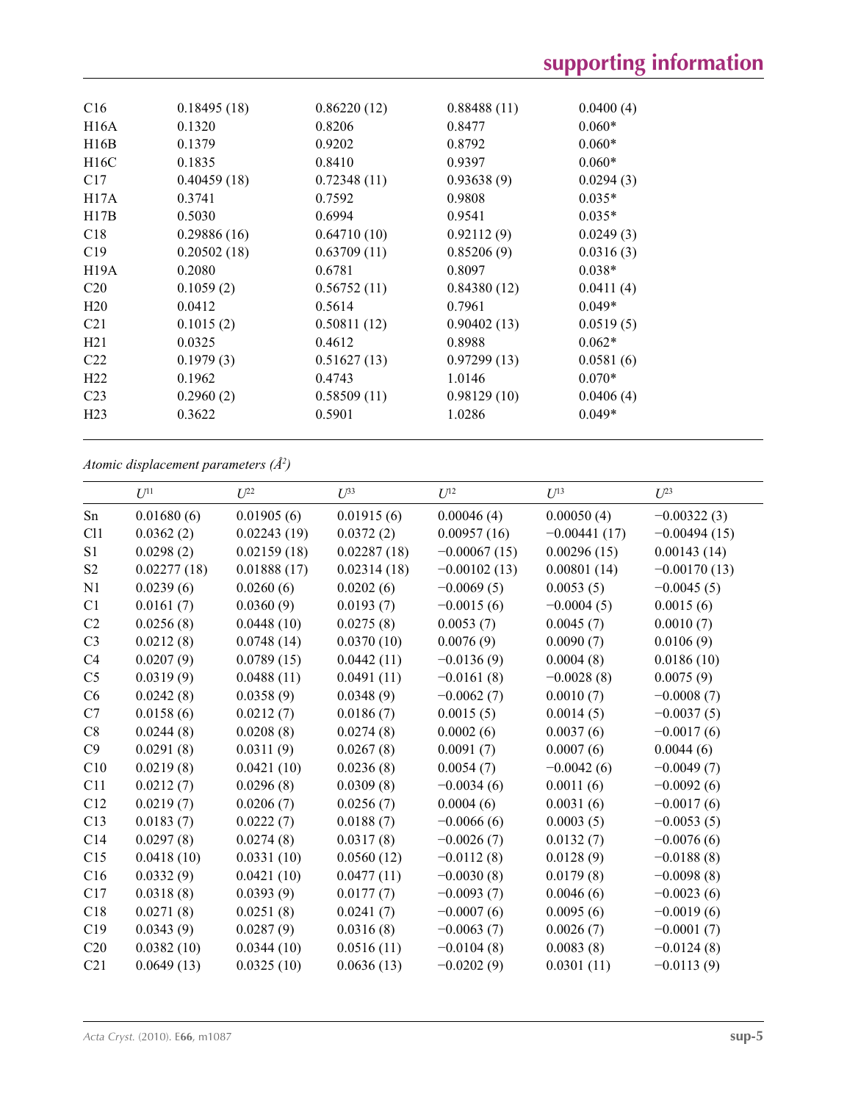| C16             | 0.18495(18) | 0.86220(12) | 0.88488(11) | 0.0400(4) |
|-----------------|-------------|-------------|-------------|-----------|
|                 |             |             |             |           |
| H16A            | 0.1320      | 0.8206      | 0.8477      | $0.060*$  |
| H16B            | 0.1379      | 0.9202      | 0.8792      | $0.060*$  |
| H16C            | 0.1835      | 0.8410      | 0.9397      | $0.060*$  |
| C17             | 0.40459(18) | 0.72348(11) | 0.93638(9)  | 0.0294(3) |
| H17A            | 0.3741      | 0.7592      | 0.9808      | $0.035*$  |
| H17B            | 0.5030      | 0.6994      | 0.9541      | $0.035*$  |
| C18             | 0.29886(16) | 0.64710(10) | 0.92112(9)  | 0.0249(3) |
| C19             | 0.20502(18) | 0.63709(11) | 0.85206(9)  | 0.0316(3) |
| H19A            | 0.2080      | 0.6781      | 0.8097      | $0.038*$  |
| C <sub>20</sub> | 0.1059(2)   | 0.56752(11) | 0.84380(12) | 0.0411(4) |
| H20             | 0.0412      | 0.5614      | 0.7961      | $0.049*$  |
| C <sub>21</sub> | 0.1015(2)   | 0.50811(12) | 0.90402(13) | 0.0519(5) |
| H21             | 0.0325      | 0.4612      | 0.8988      | $0.062*$  |
| C <sub>22</sub> | 0.1979(3)   | 0.51627(13) | 0.97299(13) | 0.0581(6) |
| H <sub>22</sub> | 0.1962      | 0.4743      | 1.0146      | $0.070*$  |
| C <sub>23</sub> | 0.2960(2)   | 0.58509(11) | 0.98129(10) | 0.0406(4) |
| H <sub>23</sub> | 0.3622      | 0.5901      | 1.0286      | $0.049*$  |

*Atomic displacement parameters (Å2 )*

|                | $U^{11}$    | $L^{22}$    | $U^{33}$    | $U^{12}$       | $U^{13}$       | $U^{23}$       |
|----------------|-------------|-------------|-------------|----------------|----------------|----------------|
| Sn             | 0.01680(6)  | 0.01905(6)  | 0.01915(6)  | 0.00046(4)     | 0.00050(4)     | $-0.00322(3)$  |
| C11            | 0.0362(2)   | 0.02243(19) | 0.0372(2)   | 0.00957(16)    | $-0.00441(17)$ | $-0.00494(15)$ |
| S1             | 0.0298(2)   | 0.02159(18) | 0.02287(18) | $-0.00067(15)$ | 0.00296(15)    | 0.00143(14)    |
| S2             | 0.02277(18) | 0.01888(17) | 0.02314(18) | $-0.00102(13)$ | 0.00801(14)    | $-0.00170(13)$ |
| N1             | 0.0239(6)   | 0.0260(6)   | 0.0202(6)   | $-0.0069(5)$   | 0.0053(5)      | $-0.0045(5)$   |
| C <sub>1</sub> | 0.0161(7)   | 0.0360(9)   | 0.0193(7)   | $-0.0015(6)$   | $-0.0004(5)$   | 0.0015(6)      |
| C <sub>2</sub> | 0.0256(8)   | 0.0448(10)  | 0.0275(8)   | 0.0053(7)      | 0.0045(7)      | 0.0010(7)      |
| C <sub>3</sub> | 0.0212(8)   | 0.0748(14)  | 0.0370(10)  | 0.0076(9)      | 0.0090(7)      | 0.0106(9)      |
| C <sub>4</sub> | 0.0207(9)   | 0.0789(15)  | 0.0442(11)  | $-0.0136(9)$   | 0.0004(8)      | 0.0186(10)     |
| C <sub>5</sub> | 0.0319(9)   | 0.0488(11)  | 0.0491(11)  | $-0.0161(8)$   | $-0.0028(8)$   | 0.0075(9)      |
| C <sub>6</sub> | 0.0242(8)   | 0.0358(9)   | 0.0348(9)   | $-0.0062(7)$   | 0.0010(7)      | $-0.0008(7)$   |
| C7             | 0.0158(6)   | 0.0212(7)   | 0.0186(7)   | 0.0015(5)      | 0.0014(5)      | $-0.0037(5)$   |
| C8             | 0.0244(8)   | 0.0208(8)   | 0.0274(8)   | 0.0002(6)      | 0.0037(6)      | $-0.0017(6)$   |
| C9             | 0.0291(8)   | 0.0311(9)   | 0.0267(8)   | 0.0091(7)      | 0.0007(6)      | 0.0044(6)      |
| C10            | 0.0219(8)   | 0.0421(10)  | 0.0236(8)   | 0.0054(7)      | $-0.0042(6)$   | $-0.0049(7)$   |
| C11            | 0.0212(7)   | 0.0296(8)   | 0.0309(8)   | $-0.0034(6)$   | 0.0011(6)      | $-0.0092(6)$   |
| C12            | 0.0219(7)   | 0.0206(7)   | 0.0256(7)   | 0.0004(6)      | 0.0031(6)      | $-0.0017(6)$   |
| C13            | 0.0183(7)   | 0.0222(7)   | 0.0188(7)   | $-0.0066(6)$   | 0.0003(5)      | $-0.0053(5)$   |
| C14            | 0.0297(8)   | 0.0274(8)   | 0.0317(8)   | $-0.0026(7)$   | 0.0132(7)      | $-0.0076(6)$   |
| C15            | 0.0418(10)  | 0.0331(10)  | 0.0560(12)  | $-0.0112(8)$   | 0.0128(9)      | $-0.0188(8)$   |
| C16            | 0.0332(9)   | 0.0421(10)  | 0.0477(11)  | $-0.0030(8)$   | 0.0179(8)      | $-0.0098(8)$   |
| C17            | 0.0318(8)   | 0.0393(9)   | 0.0177(7)   | $-0.0093(7)$   | 0.0046(6)      | $-0.0023(6)$   |
| C18            | 0.0271(8)   | 0.0251(8)   | 0.0241(7)   | $-0.0007(6)$   | 0.0095(6)      | $-0.0019(6)$   |
| C19            | 0.0343(9)   | 0.0287(9)   | 0.0316(8)   | $-0.0063(7)$   | 0.0026(7)      | $-0.0001(7)$   |
| C20            | 0.0382(10)  | 0.0344(10)  | 0.0516(11)  | $-0.0104(8)$   | 0.0083(8)      | $-0.0124(8)$   |
| C21            | 0.0649(13)  | 0.0325(10)  | 0.0636(13)  | $-0.0202(9)$   | 0.0301(11)     | $-0.0113(9)$   |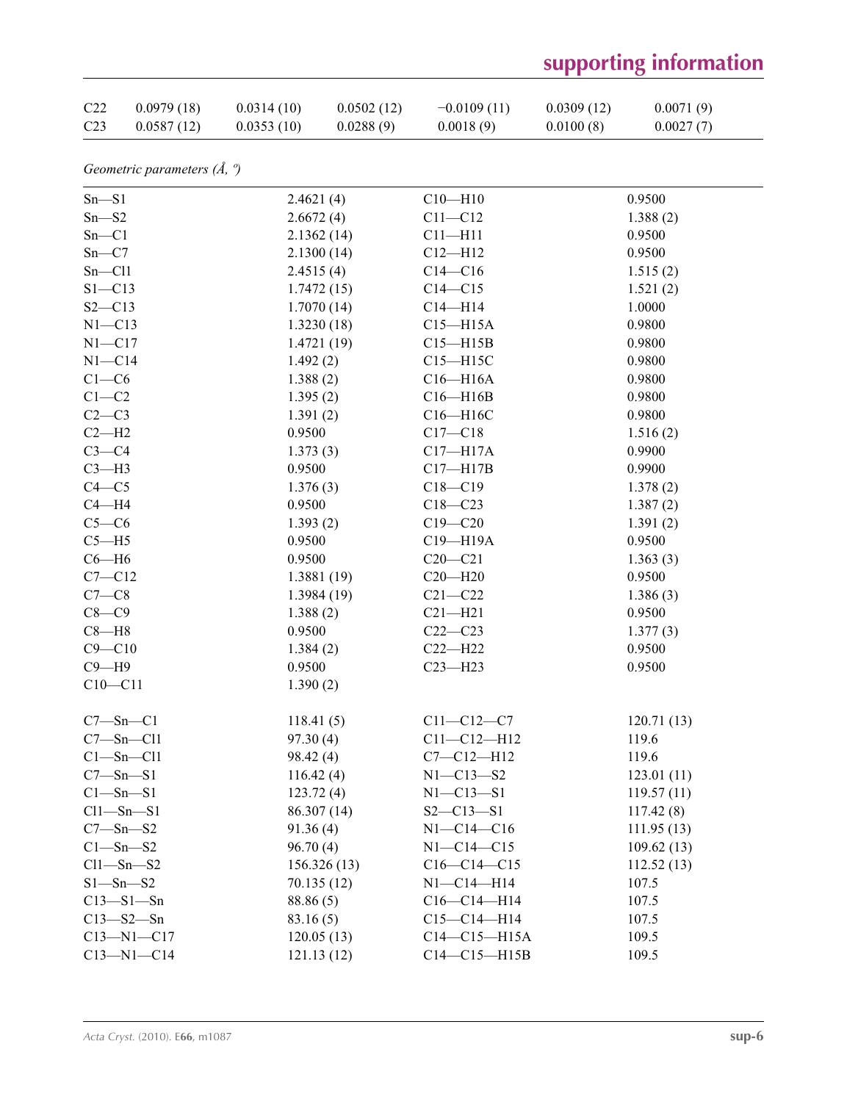# **supporting information**

| C22             | 0.0979(18) | 0.0314(10) | 0.0502(12) | $-0.0109(11)$ | 0.0309(12) | 0.0071(9) |
|-----------------|------------|------------|------------|---------------|------------|-----------|
| C <sub>23</sub> | 0.0587(12) | 0.0353(10) | 0.0288(9)  | 0.0018(9)     | 0.0100(8)  | 0.0027(7) |

*Geometric parameters (Å, º)*

| 2.4621(4)<br>0.9500<br>$Sn - S1$<br>$C10 - H10$<br>2.6672(4)<br>$C11 - C12$<br>$Sn - S2$<br>1.388(2)<br>$Sn - C1$<br>$C11 - H11$<br>0.9500<br>2.1362(14)<br>$Sn - C7$<br>2.1300(14)<br>$C12 - H12$<br>0.9500<br>$Sn - Cl1$<br>$C14 - C16$<br>2.4515(4)<br>1.515(2)<br>$S1 - C13$<br>$C14 - C15$<br>1.7472(15)<br>1.521(2)<br>1.0000<br>$S2 - C13$<br>1.7070(14)<br>$C14 - H14$<br>$C15 - H15A$<br>0.9800<br>$N1 - C13$<br>1.3230(18)<br>$N1 - C17$<br>1.4721(19)<br>0.9800<br>$C15 - H15B$<br>$N1 - C14$<br>0.9800<br>1.492(2)<br>$C15 - H15C$<br>$C1-C6$<br>0.9800<br>1.388(2)<br>$C16 - H16A$<br>$C1-C2$<br>0.9800<br>1.395(2)<br>$C16 - H16B$<br>$C2-C3$<br>$C16 - H16C$<br>0.9800<br>1.391(2)<br>$C2-H2$<br>0.9500<br>$C17 - C18$<br>1.516(2)<br>$C3-C4$<br>$C17 - H17A$<br>0.9900<br>1.373(3)<br>0.9500<br>$C3-H3$<br>$C17 - H17B$<br>0.9900<br>$C4 - C5$<br>1.376(3)<br>$C18 - C19$<br>1.378(2)<br>$C4 - H4$<br>0.9500<br>$C18 - C23$<br>1.387(2)<br>$C5-C6$<br>$C19 - C20$<br>1.393(2)<br>1.391(2)<br>$C5 - H5$<br>0.9500<br>C19-H19A<br>0.9500<br>$C6 - H6$<br>$C20-C21$<br>0.9500<br>1.363(3)<br>$C7 - C12$<br>$C20 - H20$<br>0.9500<br>1.3881 (19)<br>$C7-C8$<br>$C21 - C22$<br>1.3984(19)<br>1.386(3)<br>$C8 - C9$<br>0.9500<br>1.388(2)<br>$C21 - H21$<br>0.9500<br>$C8 - H8$<br>$C22-C23$<br>1.377(3) |  |
|--------------------------------------------------------------------------------------------------------------------------------------------------------------------------------------------------------------------------------------------------------------------------------------------------------------------------------------------------------------------------------------------------------------------------------------------------------------------------------------------------------------------------------------------------------------------------------------------------------------------------------------------------------------------------------------------------------------------------------------------------------------------------------------------------------------------------------------------------------------------------------------------------------------------------------------------------------------------------------------------------------------------------------------------------------------------------------------------------------------------------------------------------------------------------------------------------------------------------------------------------------------------------------------------------------------------|--|
|                                                                                                                                                                                                                                                                                                                                                                                                                                                                                                                                                                                                                                                                                                                                                                                                                                                                                                                                                                                                                                                                                                                                                                                                                                                                                                                    |  |
|                                                                                                                                                                                                                                                                                                                                                                                                                                                                                                                                                                                                                                                                                                                                                                                                                                                                                                                                                                                                                                                                                                                                                                                                                                                                                                                    |  |
|                                                                                                                                                                                                                                                                                                                                                                                                                                                                                                                                                                                                                                                                                                                                                                                                                                                                                                                                                                                                                                                                                                                                                                                                                                                                                                                    |  |
|                                                                                                                                                                                                                                                                                                                                                                                                                                                                                                                                                                                                                                                                                                                                                                                                                                                                                                                                                                                                                                                                                                                                                                                                                                                                                                                    |  |
|                                                                                                                                                                                                                                                                                                                                                                                                                                                                                                                                                                                                                                                                                                                                                                                                                                                                                                                                                                                                                                                                                                                                                                                                                                                                                                                    |  |
|                                                                                                                                                                                                                                                                                                                                                                                                                                                                                                                                                                                                                                                                                                                                                                                                                                                                                                                                                                                                                                                                                                                                                                                                                                                                                                                    |  |
|                                                                                                                                                                                                                                                                                                                                                                                                                                                                                                                                                                                                                                                                                                                                                                                                                                                                                                                                                                                                                                                                                                                                                                                                                                                                                                                    |  |
|                                                                                                                                                                                                                                                                                                                                                                                                                                                                                                                                                                                                                                                                                                                                                                                                                                                                                                                                                                                                                                                                                                                                                                                                                                                                                                                    |  |
|                                                                                                                                                                                                                                                                                                                                                                                                                                                                                                                                                                                                                                                                                                                                                                                                                                                                                                                                                                                                                                                                                                                                                                                                                                                                                                                    |  |
|                                                                                                                                                                                                                                                                                                                                                                                                                                                                                                                                                                                                                                                                                                                                                                                                                                                                                                                                                                                                                                                                                                                                                                                                                                                                                                                    |  |
|                                                                                                                                                                                                                                                                                                                                                                                                                                                                                                                                                                                                                                                                                                                                                                                                                                                                                                                                                                                                                                                                                                                                                                                                                                                                                                                    |  |
|                                                                                                                                                                                                                                                                                                                                                                                                                                                                                                                                                                                                                                                                                                                                                                                                                                                                                                                                                                                                                                                                                                                                                                                                                                                                                                                    |  |
|                                                                                                                                                                                                                                                                                                                                                                                                                                                                                                                                                                                                                                                                                                                                                                                                                                                                                                                                                                                                                                                                                                                                                                                                                                                                                                                    |  |
|                                                                                                                                                                                                                                                                                                                                                                                                                                                                                                                                                                                                                                                                                                                                                                                                                                                                                                                                                                                                                                                                                                                                                                                                                                                                                                                    |  |
|                                                                                                                                                                                                                                                                                                                                                                                                                                                                                                                                                                                                                                                                                                                                                                                                                                                                                                                                                                                                                                                                                                                                                                                                                                                                                                                    |  |
|                                                                                                                                                                                                                                                                                                                                                                                                                                                                                                                                                                                                                                                                                                                                                                                                                                                                                                                                                                                                                                                                                                                                                                                                                                                                                                                    |  |
|                                                                                                                                                                                                                                                                                                                                                                                                                                                                                                                                                                                                                                                                                                                                                                                                                                                                                                                                                                                                                                                                                                                                                                                                                                                                                                                    |  |
|                                                                                                                                                                                                                                                                                                                                                                                                                                                                                                                                                                                                                                                                                                                                                                                                                                                                                                                                                                                                                                                                                                                                                                                                                                                                                                                    |  |
|                                                                                                                                                                                                                                                                                                                                                                                                                                                                                                                                                                                                                                                                                                                                                                                                                                                                                                                                                                                                                                                                                                                                                                                                                                                                                                                    |  |
|                                                                                                                                                                                                                                                                                                                                                                                                                                                                                                                                                                                                                                                                                                                                                                                                                                                                                                                                                                                                                                                                                                                                                                                                                                                                                                                    |  |
|                                                                                                                                                                                                                                                                                                                                                                                                                                                                                                                                                                                                                                                                                                                                                                                                                                                                                                                                                                                                                                                                                                                                                                                                                                                                                                                    |  |
|                                                                                                                                                                                                                                                                                                                                                                                                                                                                                                                                                                                                                                                                                                                                                                                                                                                                                                                                                                                                                                                                                                                                                                                                                                                                                                                    |  |
|                                                                                                                                                                                                                                                                                                                                                                                                                                                                                                                                                                                                                                                                                                                                                                                                                                                                                                                                                                                                                                                                                                                                                                                                                                                                                                                    |  |
|                                                                                                                                                                                                                                                                                                                                                                                                                                                                                                                                                                                                                                                                                                                                                                                                                                                                                                                                                                                                                                                                                                                                                                                                                                                                                                                    |  |
|                                                                                                                                                                                                                                                                                                                                                                                                                                                                                                                                                                                                                                                                                                                                                                                                                                                                                                                                                                                                                                                                                                                                                                                                                                                                                                                    |  |
| $C9 - C10$<br>$C22 - H22$<br>0.9500<br>1.384(2)                                                                                                                                                                                                                                                                                                                                                                                                                                                                                                                                                                                                                                                                                                                                                                                                                                                                                                                                                                                                                                                                                                                                                                                                                                                                    |  |
| $C9 - H9$<br>0.9500<br>$C23 - H23$<br>0.9500                                                                                                                                                                                                                                                                                                                                                                                                                                                                                                                                                                                                                                                                                                                                                                                                                                                                                                                                                                                                                                                                                                                                                                                                                                                                       |  |
| $C10 - C11$<br>1.390(2)                                                                                                                                                                                                                                                                                                                                                                                                                                                                                                                                                                                                                                                                                                                                                                                                                                                                                                                                                                                                                                                                                                                                                                                                                                                                                            |  |
| $C7 - Sn - C1$<br>$C11 - C12 - C7$<br>118.41(5)<br>120.71(13)                                                                                                                                                                                                                                                                                                                                                                                                                                                                                                                                                                                                                                                                                                                                                                                                                                                                                                                                                                                                                                                                                                                                                                                                                                                      |  |
| $C7 - Sn - Cl1$<br>$C11 - C12 - H12$<br>97.30(4)<br>119.6                                                                                                                                                                                                                                                                                                                                                                                                                                                                                                                                                                                                                                                                                                                                                                                                                                                                                                                                                                                                                                                                                                                                                                                                                                                          |  |
| Cl—Sn—Cl1<br>98.42 (4)<br>$C7 - C12 - H12$<br>119.6                                                                                                                                                                                                                                                                                                                                                                                                                                                                                                                                                                                                                                                                                                                                                                                                                                                                                                                                                                                                                                                                                                                                                                                                                                                                |  |
| $C7 - Sn - S1$<br>116.42(4)<br>$N1 - C13 - S2$<br>123.01(11)                                                                                                                                                                                                                                                                                                                                                                                                                                                                                                                                                                                                                                                                                                                                                                                                                                                                                                                                                                                                                                                                                                                                                                                                                                                       |  |
| $C1 - Sn - S1$<br>123.72(4)<br>$N1 - C13 - S1$<br>119.57(11)                                                                                                                                                                                                                                                                                                                                                                                                                                                                                                                                                                                                                                                                                                                                                                                                                                                                                                                                                                                                                                                                                                                                                                                                                                                       |  |
| 86.307 (14)<br>$S2 - C13 - S1$<br>$Cl1 - Sn - S1$<br>117.42(8)                                                                                                                                                                                                                                                                                                                                                                                                                                                                                                                                                                                                                                                                                                                                                                                                                                                                                                                                                                                                                                                                                                                                                                                                                                                     |  |
| $N1 - C14 - C16$<br>$C7 - Sn - S2$<br>91.36(4)<br>111.95(13)                                                                                                                                                                                                                                                                                                                                                                                                                                                                                                                                                                                                                                                                                                                                                                                                                                                                                                                                                                                                                                                                                                                                                                                                                                                       |  |
| $N1 - C14 - C15$<br>$C1 - Sn - S2$<br>96.70(4)<br>109.62(13)                                                                                                                                                                                                                                                                                                                                                                                                                                                                                                                                                                                                                                                                                                                                                                                                                                                                                                                                                                                                                                                                                                                                                                                                                                                       |  |
| $Cl1 - Sn - S2$<br>$C16-C14-C15$<br>156.326(13)<br>112.52(13)                                                                                                                                                                                                                                                                                                                                                                                                                                                                                                                                                                                                                                                                                                                                                                                                                                                                                                                                                                                                                                                                                                                                                                                                                                                      |  |
| $S1 - Sn - S2$<br>$N1 - C14 - H14$<br>107.5<br>70.135 (12)                                                                                                                                                                                                                                                                                                                                                                                                                                                                                                                                                                                                                                                                                                                                                                                                                                                                                                                                                                                                                                                                                                                                                                                                                                                         |  |
| $C13 - S1 - Sn$<br>$C16-C14-H14$<br>88.86 (5)<br>107.5                                                                                                                                                                                                                                                                                                                                                                                                                                                                                                                                                                                                                                                                                                                                                                                                                                                                                                                                                                                                                                                                                                                                                                                                                                                             |  |
| $C15 - C14 - H14$<br>$C13 - S2 - Sn$<br>83.16(5)<br>107.5                                                                                                                                                                                                                                                                                                                                                                                                                                                                                                                                                                                                                                                                                                                                                                                                                                                                                                                                                                                                                                                                                                                                                                                                                                                          |  |
| $C13 - N1 - C17$<br>$C14-C15-H15A$<br>120.05(13)<br>109.5                                                                                                                                                                                                                                                                                                                                                                                                                                                                                                                                                                                                                                                                                                                                                                                                                                                                                                                                                                                                                                                                                                                                                                                                                                                          |  |
| $C13 - N1 - C14$<br>$C14-C15-H15B$<br>109.5<br>121.13(12)                                                                                                                                                                                                                                                                                                                                                                                                                                                                                                                                                                                                                                                                                                                                                                                                                                                                                                                                                                                                                                                                                                                                                                                                                                                          |  |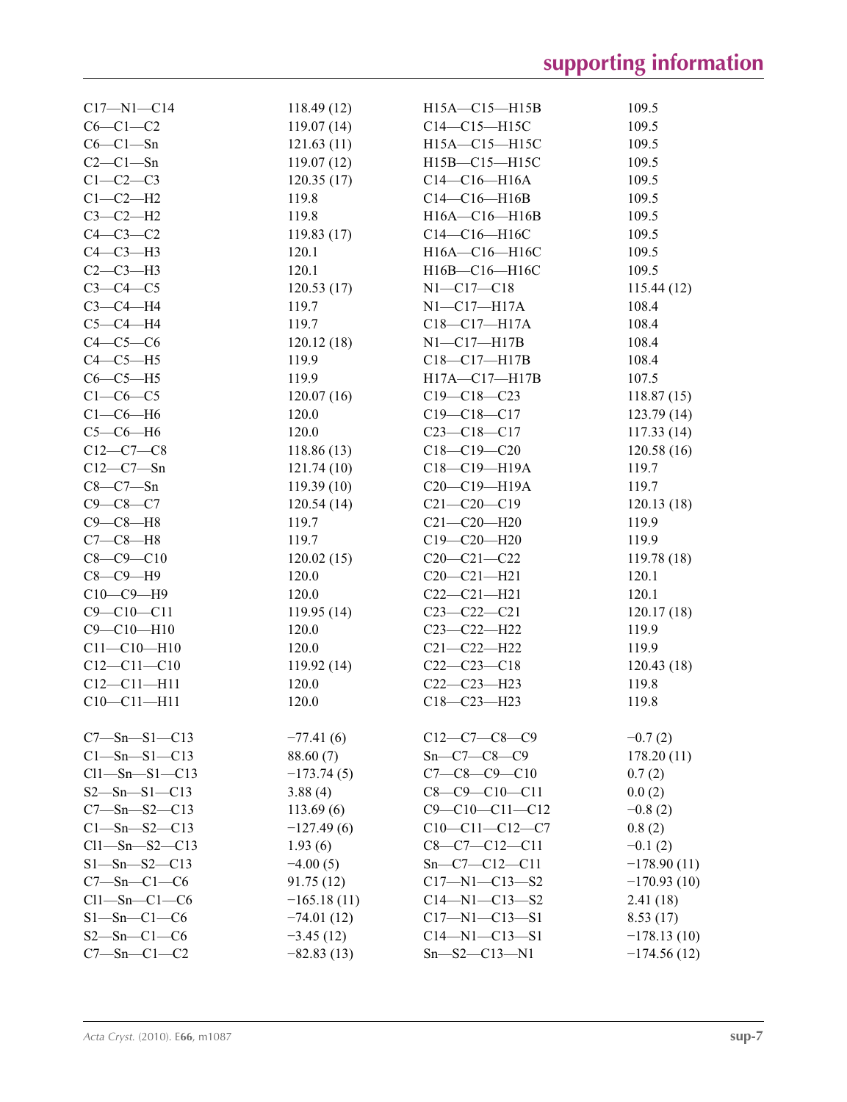| $C17 - N1 - C14$              | 118.49(12)    | H15A-C15-H15B          | 109.5         |
|-------------------------------|---------------|------------------------|---------------|
| $C6-C1-C2$                    | 119.07(14)    | $C14-C15-H15C$         | 109.5         |
| $C6-C1-Sn$                    | 121.63(11)    | H15A-C15-H15C          | 109.5         |
| $C2-C1-Sn$                    | 119.07(12)    | H15B-C15-H15C          | 109.5         |
| $C1-C2-C3$                    | 120.35(17)    | $C14-C16-H16A$         | 109.5         |
| $C1-C2-H2$                    | 119.8         | $C14-C16-H16B$         | 109.5         |
| $C3-C2-H2$                    | 119.8         | H16A-C16-H16B          | 109.5         |
| $C4-C3-C2$                    | 119.83(17)    | C14-C16-H16C           | 109.5         |
| $C4-C3-H3$                    | 120.1         | H16A-C16-H16C          | 109.5         |
| $C2-C3-H3$                    | 120.1         | H16B-C16-H16C          | 109.5         |
| $C3-C4-C5$                    | 120.53(17)    | $N1 - C17 - C18$       | 115.44(12)    |
| $C3-C4-H4$                    | 119.7         | $N1 - C17 - H17A$      | 108.4         |
| $C5-C4-H4$                    | 119.7         | C18-C17-H17A           | 108.4         |
| $C4-C5-C6$                    | 120.12(18)    | $N1-C17-H17B$          | 108.4         |
| $C4-C5-H5$                    | 119.9         | $C18 - C17 - H17B$     | 108.4         |
| $C6-C5-H5$                    | 119.9         | H17A-C17-H17B          | 107.5         |
| $C1-C6-C5$                    | 120.07(16)    | $C19 - C18 - C23$      | 118.87(15)    |
| $C1-C6-H6$                    | 120.0         | $C19 - C18 - C17$      | 123.79(14)    |
| $C5-C6-H6$                    | 120.0         | $C23 - C18 - C17$      | 117.33(14)    |
| $C12-C7-C8$                   | 118.86(13)    | $C18 - C19 - C20$      | 120.58(16)    |
| $C12 - C7 - Sn$               | 121.74(10)    | C18-C19-H19A           | 119.7         |
| $C8-C7-Sn$                    | 119.39(10)    | C20-C19-H19A           | 119.7         |
| $C9 - C8 - C7$                | 120.54(14)    | $C21 - C20 - C19$      | 120.13(18)    |
| $C9 - C8 - H8$                | 119.7         | $C21 - C20 - H20$      | 119.9         |
|                               |               |                        |               |
| $C7-C8-H8$<br>$C8 - C9 - C10$ | 119.7         | $C19 - C20 - H20$      | 119.9         |
|                               | 120.02(15)    | $C20-C21-C22$          | 119.78(18)    |
| $C8-C9-H9$                    | 120.0         | $C20-C21-H21$          | 120.1         |
| $C10-C9-H9$                   | 120.0         | $C22-C21-H21$          | 120.1         |
| $C9 - C10 - C11$              | 119.95(14)    | $C23-C22-C21$          | 120.17(18)    |
| $C9 - C10 - H10$              | 120.0         | C23-C22-H22            | 119.9         |
| $C11 - C10 - H10$             | 120.0         | $C21 - C22 - H22$      | 119.9         |
| $C12 - C11 - C10$             | 119.92(14)    | $C22-C23-C18$          | 120.43(18)    |
| $C12 - C11 - H11$             | 120.0         | $C22-C23-H23$          | 119.8         |
| $C10 - C11 - H11$             | 120.0         | $C18 - C23 - H23$      | 119.8         |
| $C7 - Sn - S1 - C13$          | $-77.41(6)$   | $C12-C7-C8-C9$         | $-0.7(2)$     |
| $C1 - Sn - S1 - C13$          | 88.60 (7)     | $Sn - C7 - C8 - C9$    | 178.20(11)    |
| $Cl1 - Sn - S1 - Cl3$         | $-173.74(5)$  | $C7 - C8 - C9 - C10$   | 0.7(2)        |
| $S2 - Sn - S1 - C13$          | 3.88(4)       | $C8 - C9 - C10 - C11$  | 0.0(2)        |
| $C7 - Sn - S2 - C13$          | 113.69(6)     | $C9 - C10 - C11 - C12$ | $-0.8(2)$     |
| $C1 - Sn - S2 - C13$          | $-127.49(6)$  | $C10-C11-C12-C7$       | 0.8(2)        |
| $Cl1 - Sn - S2 - C13$         | 1.93(6)       | $C8-C7-C12-C11$        | $-0.1(2)$     |
| $S1 - Sn - S2 - C13$          | $-4.00(5)$    | $Sn - C7 - C12 - C11$  | $-178.90(11)$ |
| $C7 - Sn - C1 - C6$           | 91.75(12)     | $C17 - N1 - C13 - S2$  | $-170.93(10)$ |
| $Cl1 - Sn - Cl - C6$          | $-165.18(11)$ | $C14 - N1 - C13 - S2$  | 2.41(18)      |
| $S1 - Sn - C1 - C6$           | $-74.01(12)$  | $C17 - N1 - C13 - S1$  | 8.53(17)      |
| $S2 - Sn - C1 - C6$           | $-3.45(12)$   | $C14 - N1 - C13 - S1$  | $-178.13(10)$ |
| $C7 - Sn - C1 - C2$           | $-82.83(13)$  | $Sn - S2 - C13 - N1$   | $-174.56(12)$ |
|                               |               |                        |               |